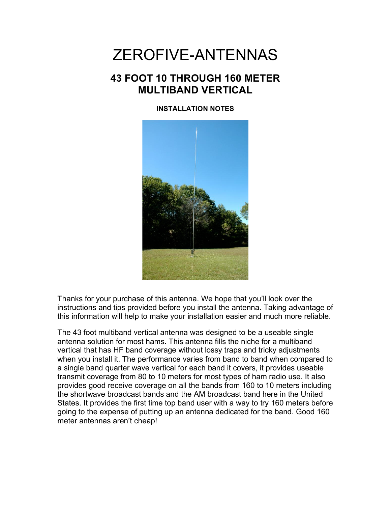# ZEROFIVE-ANTENNAS

## **43 FOOT 10 THROUGH 160 METER MULTIBAND VERTICAL**

**INSTALLATION NOTES**



Thanks for your purchase of this antenna. We hope that you'll look over the instructions and tips provided before you install the antenna. Taking advantage of this information will help to make your installation easier and much more reliable.

The 43 foot multiband vertical antenna was designed to be a useable single antenna solution for most hams**.** This antenna fills the niche for a multiband vertical that has HF band coverage without lossy traps and tricky adjustments when you install it. The performance varies from band to band when compared to a single band quarter wave vertical for each band it covers, it provides useable transmit coverage from 80 to 10 meters for most types of ham radio use. It also provides good receive coverage on all the bands from 160 to 10 meters including the shortwave broadcast bands and the AM broadcast band here in the United States. It provides the first time top band user with a way to try 160 meters before going to the expense of putting up an antenna dedicated for the band. Good 160 meter antennas aren't cheap!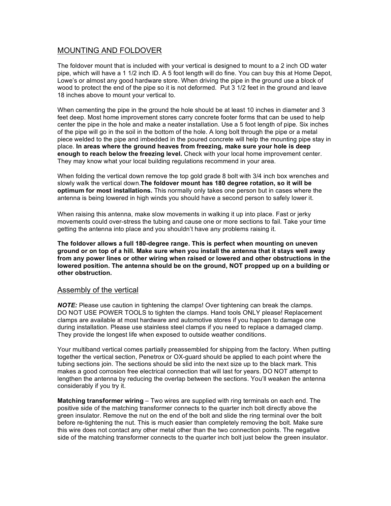## MOUNTING AND FOLDOVER

The foldover mount that is included with your vertical is designed to mount to a 2 inch OD water pipe, which will have a 1 1/2 inch ID. A 5 foot length will do fine. You can buy this at Home Depot, Lowe's or almost any good hardware store. When driving the pipe in the ground use a block of wood to protect the end of the pipe so it is not deformed. Put 3 1/2 feet in the ground and leave 18 inches above to mount your vertical to.

When cementing the pipe in the ground the hole should be at least 10 inches in diameter and 3 feet deep. Most home improvement stores carry concrete footer forms that can be used to help center the pipe in the hole and make a neater installation. Use a 5 foot length of pipe. Six inches of the pipe will go in the soil in the bottom of the hole. A long bolt through the pipe or a metal piece welded to the pipe and imbedded in the poured concrete will help the mounting pipe stay in place. **In areas where the ground heaves from freezing, make sure your hole is deep enough to reach below the freezing level.** Check with your local home improvement center. They may know what your local building regulations recommend in your area.

When folding the vertical down remove the top gold grade 8 bolt with 3/4 inch box wrenches and slowly walk the vertical down.**The foldover mount has 180 degree rotation, so it will be optimum for most installations.** This normally only takes one person but in cases where the antenna is being lowered in high winds you should have a second person to safely lower it.

When raising this antenna, make slow movements in walking it up into place. Fast or jerky movements could over-stress the tubing and cause one or more sections to fail. Take your time getting the antenna into place and you shouldn't have any problems raising it.

**The foldover allows a full 180-degree range. This is perfect when mounting on uneven ground or on top of a hill. Make sure when you install the antenna that it stays well away from any power lines or other wiring when raised or lowered and other obstructions in the lowered position. The antenna should be on the ground, NOT propped up on a building or other obstruction.**

## Assembly of the vertical

*NOTE:* Please use caution in tightening the clamps! Over tightening can break the clamps. DO NOT USE POWER TOOLS to tighten the clamps. Hand tools ONLY please! Replacement clamps are available at most hardware and automotive stores if you happen to damage one during installation. Please use stainless steel clamps if you need to replace a damaged clamp. They provide the longest life when exposed to outside weather conditions.

Your multiband vertical comes partially preassembled for shipping from the factory. When putting together the vertical section, Penetrox or OX-guard should be applied to each point where the tubing sections join. The sections should be slid into the next size up to the black mark. This makes a good corrosion free electrical connection that will last for years. DO NOT attempt to lengthen the antenna by reducing the overlap between the sections. You'll weaken the antenna considerably if you try it.

**Matching transformer wiring** – Two wires are supplied with ring terminals on each end. The positive side of the matching transformer connects to the quarter inch bolt directly above the green insulator. Remove the nut on the end of the bolt and slide the ring terminal over the bolt before re-tightening the nut. This is much easier than completely removing the bolt. Make sure this wire does not contact any other metal other than the two connection points. The negative side of the matching transformer connects to the quarter inch bolt just below the green insulator.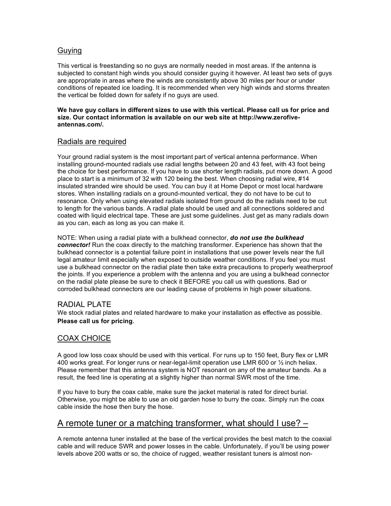## Guying

This vertical is freestanding so no guys are normally needed in most areas. If the antenna is subjected to constant high winds you should consider guying it however. At least two sets of guys are appropriate in areas where the winds are consistently above 30 miles per hour or under conditions of repeated ice loading. It is recommended when very high winds and storms threaten the vertical be folded down for safety if no guys are used.

#### **We have guy collars in different sizes to use with this vertical. Please call us for price and size. Our contact information is available on our web site at http://www.zerofiveantennas.com/.**

## Radials are required

Your ground radial system is the most important part of vertical antenna performance. When installing ground-mounted radials use radial lengths between 20 and 43 feet, with 43 foot being the choice for best performance. If you have to use shorter length radials, put more down. A good place to start is a minimum of 32 with 120 being the best. When choosing radial wire, #14 insulated stranded wire should be used. You can buy it at Home Depot or most local hardware stores. When installing radials on a ground-mounted vertical, they do not have to be cut to resonance. Only when using elevated radials isolated from ground do the radials need to be cut to length for the various bands. A radial plate should be used and all connections soldered and coated with liquid electrical tape. These are just some guidelines. Just get as many radials down as you can, each as long as you can make it.

NOTE: When using a radial plate with a bulkhead connector, *do not use the bulkhead connector!* Run the coax directly to the matching transformer. Experience has shown that the bulkhead connector is a potential failure point in installations that use power levels near the full legal amateur limit especially when exposed to outside weather conditions. If you feel you must use a bulkhead connector on the radial plate then take extra precautions to properly weatherproof the joints. If you experience a problem with the antenna and you are using a bulkhead connector on the radial plate please be sure to check it BEFORE you call us with questions. Bad or corroded bulkhead connectors are our leading cause of problems in high power situations.

## RADIAL PLATE

We stock radial plates and related hardware to make your installation as effective as possible. **Please call us for pricing**.

## COAX CHOICE

A good low loss coax should be used with this vertical. For runs up to 150 feet, Bury flex or LMR 400 works great. For longer runs or near-legal-limit operation use LMR 600 or ½ inch heliax. Please remember that this antenna system is NOT resonant on any of the amateur bands. As a result, the feed line is operating at a slightly higher than normal SWR most of the time.

If you have to bury the coax cable, make sure the jacket material is rated for direct burial. Otherwise, you might be able to use an old garden hose to burry the coax. Simply run the coax cable inside the hose then bury the hose.

## A remote tuner or a matching transformer, what should I use? –

A remote antenna tuner installed at the base of the vertical provides the best match to the coaxial cable and will reduce SWR and power losses in the cable. Unfortunately, if you'll be using power levels above 200 watts or so, the choice of rugged, weather resistant tuners is almost non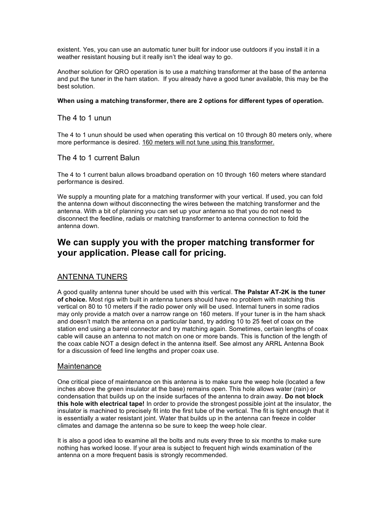existent. Yes, you can use an automatic tuner built for indoor use outdoors if you install it in a weather resistant housing but it really isn't the ideal way to go.

Another solution for QRO operation is to use a matching transformer at the base of the antenna and put the tuner in the ham station. If you already have a good tuner available, this may be the best solution.

#### **When using a matching transformer, there are 2 options for different types of operation.**

### The 4 to 1 unun

The 4 to 1 unun should be used when operating this vertical on 10 through 80 meters only, where more performance is desired. 160 meters will not tune using this transformer.

## The 4 to 1 current Balun

The 4 to 1 current balun allows broadband operation on 10 through 160 meters where standard performance is desired.

We supply a mounting plate for a matching transformer with your vertical. If used, you can fold the antenna down without disconnecting the wires between the matching transformer and the antenna. With a bit of planning you can set up your antenna so that you do not need to disconnect the feedline, radials or matching transformer to antenna connection to fold the antenna down.

## **We can supply you with the proper matching transformer for your application. Please call for pricing.**

## ANTENNA TUNERS

A good quality antenna tuner should be used with this vertical. **The Palstar AT-2K is the tuner of choice.** Most rigs with built in antenna tuners should have no problem with matching this vertical on 80 to 10 meters if the radio power only will be used. Internal tuners in some radios may only provide a match over a narrow range on 160 meters. If your tuner is in the ham shack and doesn't match the antenna on a particular band, try adding 10 to 25 feet of coax on the station end using a barrel connector and try matching again. Sometimes, certain lengths of coax cable will cause an antenna to not match on one or more bands. This is function of the length of the coax cable NOT a design defect in the antenna itself. See almost any ARRL Antenna Book for a discussion of feed line lengths and proper coax use.

## **Maintenance**

One critical piece of maintenance on this antenna is to make sure the weep hole (located a few inches above the green insulator at the base) remains open. This hole allows water (rain) or condensation that builds up on the inside surfaces of the antenna to drain away. **Do not block this hole with electrical tape!** In order to provide the strongest possible joint at the insulator, the insulator is machined to precisely fit into the first tube of the vertical. The fit is tight enough that it is essentially a water resistant joint. Water that builds up in the antenna can freeze in colder climates and damage the antenna so be sure to keep the weep hole clear.

It is also a good idea to examine all the bolts and nuts every three to six months to make sure nothing has worked loose. If your area is subject to frequent high winds examination of the antenna on a more frequent basis is strongly recommended.